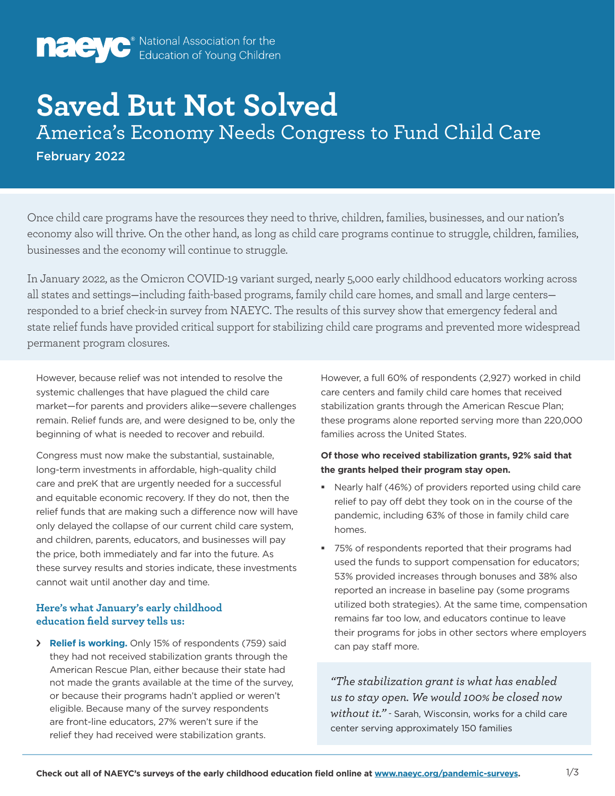

# **Saved But Not Solved**

America's Economy Needs Congress to Fund Child Care February 2022

Once child care programs have the resources they need to thrive, children, families, businesses, and our nation's economy also will thrive. On the other hand, as long as child care programs continue to struggle, children, families, businesses and the economy will continue to struggle.

In January 2022, as the Omicron COVID-19 variant surged, nearly 5,000 early childhood educators working across all states and settings—including faith-based programs, family child care homes, and small and large centers responded to a brief check-in survey from NAEYC. The results of this survey show that emergency federal and state relief funds have provided critical support for stabilizing child care programs and prevented more widespread permanent program closures.

However, because relief was not intended to resolve the systemic challenges that have plagued the child care market—for parents and providers alike—severe challenges remain. Relief funds are, and were designed to be, only the beginning of what is needed to recover and rebuild.

Congress must now make the substantial, sustainable, long-term investments in affordable, high-quality child care and preK that are urgently needed for a successful and equitable economic recovery. If they do not, then the relief funds that are making such a difference now will have only delayed the collapse of our current child care system, and children, parents, educators, and businesses will pay the price, both immediately and far into the future. As these survey results and stories indicate, these investments cannot wait until another day and time.

## **Here's what January's early childhood education field survey tells us:**

› **Relief is working.** Only 15% of respondents (759) said they had not received stabilization grants through the American Rescue Plan, either because their state had not made the grants available at the time of the survey, or because their programs hadn't applied or weren't eligible. Because many of the survey respondents are front-line educators, 27% weren't sure if the relief they had received were stabilization grants.

However, a full 60% of respondents (2,927) worked in child care centers and family child care homes that received stabilization grants through the American Rescue Plan; these programs alone reported serving more than 220,000 families across the United States.

### **Of those who received stabilization grants, 92% said that the grants helped their program stay open.**

- Nearly half (46%) of providers reported using child care relief to pay off debt they took on in the course of the pandemic, including 63% of those in family child care homes.
- 75% of respondents reported that their programs had used the funds to support compensation for educators; 53% provided increases through bonuses and 38% also reported an increase in baseline pay (some programs utilized both strategies). At the same time, compensation remains far too low, and educators continue to leave their programs for jobs in other sectors where employers can pay staff more.

*"The stabilization grant is what has enabled us to stay open. We would 100% be closed now without it." -* Sarah, Wisconsin, works for a child care center serving approximately 150 families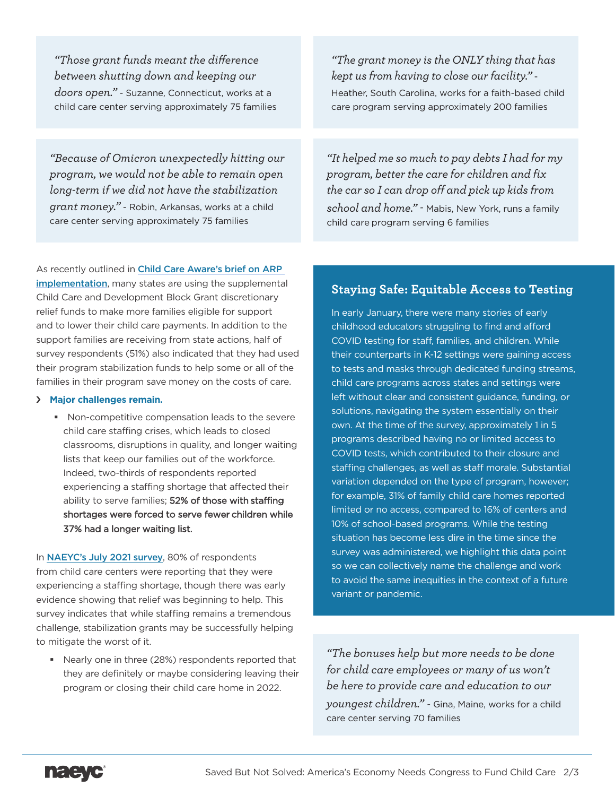*"Those grant funds meant the difference between shutting down and keeping our doors open."* - Suzanne, Connecticut, works at a child care center serving approximately 75 families

*"Because of Omicron unexpectedly hitting our program, we would not be able to remain open long-term if we did not have the stabilization grant money."* - Robin, Arkansas, works at a child care center serving approximately 75 families

As recently outlined in **Child Care Aware's brief on ARP** implementation, many states are using the supplemental Child Care and Development Block Grant discretionary relief funds to make more families eligible for support and to lower their child care payments. In addition to the support families are receiving from state actions, half of survey respondents (51%) also indicated that they had used their program stabilization funds to help some or all of the families in their program save money on the costs of care.

#### › **Major challenges remain.**

 Non-competitive compensation leads to the severe child care staffing crises, which leads to closed classrooms, disruptions in quality, and longer waiting lists that keep our families out of the workforce. Indeed, two-thirds of respondents reported experiencing a staffing shortage that affected their ability to serve families; 52% of those with staffing shortages were forced to serve fewer children while 37% had a longer waiting list.

In NAEYC's July 2021 survey, 80% of respondents from child care centers were reporting that they were experiencing a staffing shortage, though there was early evidence showing that relief was beginning to help. This survey indicates that while staffing remains a tremendous challenge, stabilization grants may be successfully helping to mitigate the worst of it.

 Nearly one in three (28%) respondents reported that they are definitely or maybe considering leaving their program or closing their child care home in 2022.

*"The grant money is the ONLY thing that has kept us from having to close our facility."* - Heather, South Carolina, works for a faith-based child care program serving approximately 200 families

*"It helped me so much to pay debts I had for my program, better the care for children and fix the car so I can drop off and pick up kids from school and home." -* Mabis, New York, runs a family child care program serving 6 families

## **Staying Safe: Equitable Access to Testing**

In early January, there were many stories of early childhood educators struggling to find and afford COVID testing for staff, families, and children. While their counterparts in K-12 settings were gaining access to tests and masks through dedicated funding streams, child care programs across states and settings were left without clear and consistent guidance, funding, or solutions, navigating the system essentially on their own. At the time of the survey, approximately 1 in 5 programs described having no or limited access to COVID tests, which contributed to their closure and staffing challenges, as well as staff morale. Substantial variation depended on the type of program, however; for example, 31% of family child care homes reported limited or no access, compared to 16% of centers and 10% of school-based programs. While the testing situation has become less dire in the time since the survey was administered, we highlight this data point so we can collectively name the challenge and work to avoid the same inequities in the context of a future variant or pandemic.

*"The bonuses help but more needs to be done for child care employees or many of us won't be here to provide care and education to our youngest children."* - Gina, Maine, works for a child care center serving 70 families